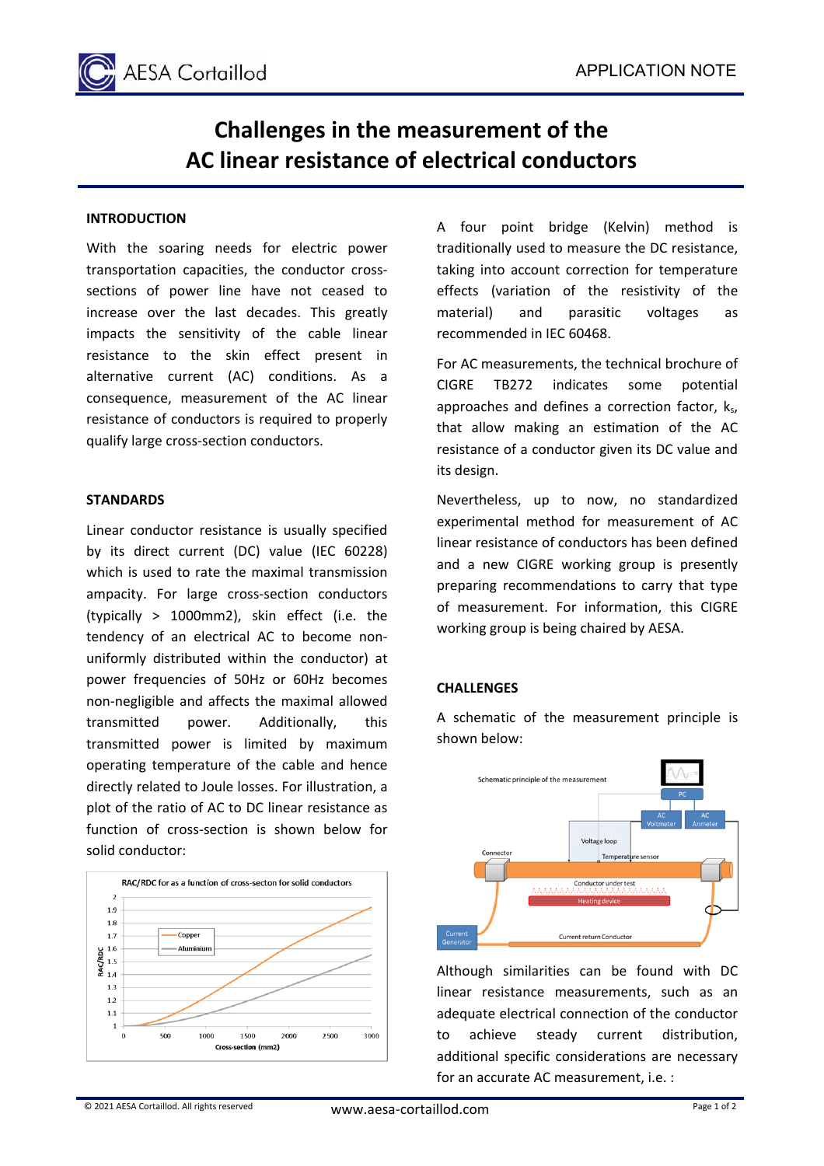

## **Challenges in the measurement of the AC linear resistance of electrical conductors**

## **INTRODUCTION**

With the soaring needs for electric power transportation capacities, the conductor cross‐ sections of power line have not ceased to increase over the last decades. This greatly impacts the sensitivity of the cable linear resistance to the skin effect present in alternative current (AC) conditions. As a consequence, measurement of the AC linear resistance of conductors is required to properly qualify large cross‐section conductors.

## **STANDARDS**

Linear conductor resistance is usually specified by its direct current (DC) value (IEC 60228) which is used to rate the maximal transmission ampacity. For large cross‐section conductors (typically > 1000mm2), skin effect (i.e. the tendency of an electrical AC to become non‐ uniformly distributed within the conductor) at power frequencies of 50Hz or 60Hz becomes non‐negligible and affects the maximal allowed transmitted power. Additionally, this transmitted power is limited by maximum operating temperature of the cable and hence directly related to Joule losses. For illustration, a plot of the ratio of AC to DC linear resistance as function of cross‐section is shown below for solid conductor:



A four point bridge (Kelvin) method is traditionally used to measure the DC resistance, taking into account correction for temperature effects (variation of the resistivity of the material) and parasitic voltages as recommended in IEC 60468.

For AC measurements, the technical brochure of CIGRE TB272 indicates some potential approaches and defines a correction factor,  $k_{s}$ , that allow making an estimation of the AC resistance of a conductor given its DC value and its design.

Nevertheless, up to now, no standardized experimental method for measurement of AC linear resistance of conductors has been defined and a new CIGRE working group is presently preparing recommendations to carry that type of measurement. For information, this CIGRE working group is being chaired by AESA.

## **CHALLENGES**

A schematic of the measurement principle is shown below:



Although similarities can be found with DC linear resistance measurements, such as an adequate electrical connection of the conductor to achieve steady current distribution, additional specific considerations are necessary for an accurate AC measurement, i.e. :